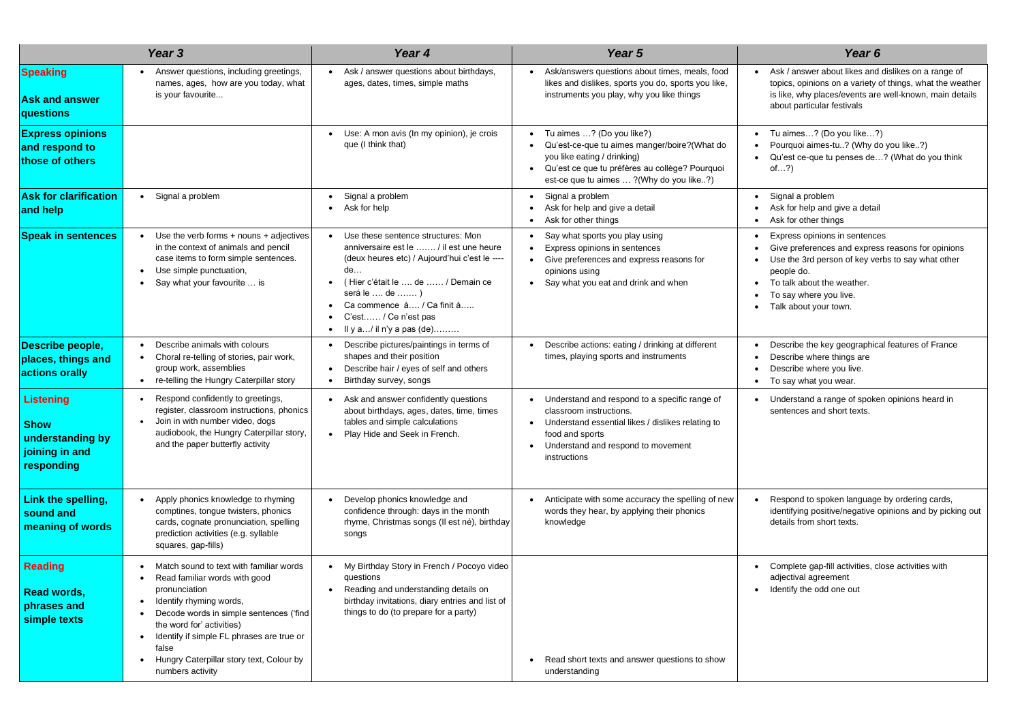Ask / answer about likes and dislikes on a range of topics, opinions on a variety of things, what the weather is like, why places/events are well-known, main details about particular festivals

• Tu aimes…? (Do you like…?) • Pourquoi aimes-tu..? (Why do you like..?) • Qu'est ce-que tu penses de…? (What do you think of…?)

Express opinions in sentences

- Give preferences and express reasons for opinions Use the 3rd person of key verbs to say what other people do.
- To talk about the weather.
- To say where you live.
- Talk about your town.

Describe the key geographical features of France Describe where things are Describe where you live.

Understand a range of spoken opinions heard in sentences and short texts.

Respond to spoken language by ordering cards, identifying positive/negative opinions and by picking out details from short texts.

|                                                                                     | Year 3                                                                                                                                                                                                                                                                                                                  | Year 4                                                                                                                                                                                                                                                                          | Year 5                                                                                                                                                                                                                            | Year <sub>6</sub>                                                                                                                                                                          |  |
|-------------------------------------------------------------------------------------|-------------------------------------------------------------------------------------------------------------------------------------------------------------------------------------------------------------------------------------------------------------------------------------------------------------------------|---------------------------------------------------------------------------------------------------------------------------------------------------------------------------------------------------------------------------------------------------------------------------------|-----------------------------------------------------------------------------------------------------------------------------------------------------------------------------------------------------------------------------------|--------------------------------------------------------------------------------------------------------------------------------------------------------------------------------------------|--|
| <b>Speaking</b><br><b>Ask and answer</b><br>questions                               | Answer questions, including greetings,<br>names, ages, how are you today, what<br>is your favourite                                                                                                                                                                                                                     | Ask / answer questions about birthdays,<br>ages, dates, times, simple maths                                                                                                                                                                                                     | Ask/answers questions about times, meals, food<br>likes and dislikes, sports you do, sports you like,<br>instruments you play, why you like things                                                                                | Ask / answer about likes and<br>topics, opinions on a variety<br>is like, why places/events are<br>about particular festivals                                                              |  |
| <b>Express opinions</b><br>and respond to<br>those of others                        |                                                                                                                                                                                                                                                                                                                         | Use: A mon avis (In my opinion), je crois<br>que (I think that)                                                                                                                                                                                                                 | Tu aimes ? (Do you like?)<br>Qu'est-ce-que tu aimes manger/boire?(What do<br>$\bullet$<br>you like eating / drinking)<br>Qu'est ce que tu préfères au collège? Pourquoi<br>$\bullet$<br>est-ce que tu aimes  ? (Why do you like?) | Tu aimes? (Do you like?<br>Pourquoi aimes-tu? (Why d<br>Qu'est ce-que tu penses de<br>of?)                                                                                                 |  |
| <b>Ask for clarification</b><br>and help                                            | Signal a problem                                                                                                                                                                                                                                                                                                        | Signal a problem<br>Ask for help                                                                                                                                                                                                                                                | Signal a problem<br>Ask for help and give a detail<br>Ask for other things<br>$\bullet$                                                                                                                                           | Signal a problem<br>Ask for help and give a detail<br>Ask for other things                                                                                                                 |  |
| <b>Speak in sentences</b>                                                           | Use the verb forms + nouns + adjectives<br>in the context of animals and pencil<br>case items to form simple sentences.<br>Use simple punctuation,<br>Say what your favourite  is                                                                                                                                       | Use these sentence structures: Mon<br>anniversaire est le  / il est une heure<br>(deux heures etc) / Aujourd'hui c'est le ----<br>de<br>(Hier c'était le  de  / Demain ce<br>será le  de )<br>Ca commence à / Ca finit à<br>C'est / Ce n'est pas<br>Il y a/ il n'y a pas $(de)$ | Say what sports you play using<br>Express opinions in sentences<br>Give preferences and express reasons for<br>opinions using<br>Say what you eat and drink and when                                                              | Express opinions in sentence<br>Give preferences and expres<br>Use the 3rd person of key ve<br>people do.<br>To talk about the weather.<br>To say where you live.<br>Talk about your town. |  |
| Describe people,<br>places, things and<br>actions orally                            | Describe animals with colours<br>Choral re-telling of stories, pair work,<br>group work, assemblies<br>re-telling the Hungry Caterpillar story                                                                                                                                                                          | Describe pictures/paintings in terms of<br>shapes and their position<br>Describe hair / eyes of self and others<br>Birthday survey, songs                                                                                                                                       | Describe actions: eating / drinking at different<br>times, playing sports and instruments                                                                                                                                         | Describe the key geographic<br>Describe where things are<br>Describe where you live.<br>To say what you wear.                                                                              |  |
| <b>Listening</b><br><b>Show</b><br>understanding by<br>joining in and<br>responding | Respond confidently to greetings,<br>register, classroom instructions, phonics<br>Join in with number video, dogs<br>audiobook, the Hungry Caterpillar story,<br>and the paper butterfly activity                                                                                                                       | Ask and answer confidently questions<br>about birthdays, ages, dates, time, times<br>tables and simple calculations<br>Play Hide and Seek in French.<br>$\bullet$                                                                                                               | Understand and respond to a specific range of<br>classroom instructions.<br>Understand essential likes / dislikes relating to<br>$\bullet$<br>food and sports<br>Understand and respond to movement<br>instructions               | Understand a range of spoke<br>sentences and short texts.                                                                                                                                  |  |
| Link the spelling,<br>sound and<br>meaning of words                                 | Apply phonics knowledge to rhyming<br>comptines, tongue twisters, phonics<br>cards, cognate pronunciation, spelling<br>prediction activities (e.g. syllable<br>squares, gap-fills)                                                                                                                                      | Develop phonics knowledge and<br>confidence through: days in the month<br>rhyme, Christmas songs (Il est né), birthday<br>songs                                                                                                                                                 | Anticipate with some accuracy the spelling of new<br>words they hear, by applying their phonics<br>knowledge                                                                                                                      | Respond to spoken language<br>identifying positive/negative o<br>details from short texts.                                                                                                 |  |
| <b>Reading</b><br><b>Read words,</b><br>phrases and<br>simple texts                 | Match sound to text with familiar words<br>Read familiar words with good<br>pronunciation<br>Identify rhyming words,<br>Decode words in simple sentences ('find<br>the word for' activities)<br>Identify if simple FL phrases are true or<br>٠<br>false<br>Hungry Caterpillar story text, Colour by<br>numbers activity | My Birthday Story in French / Pocoyo video<br>questions<br>Reading and understanding details on<br>birthday invitations, diary entries and list of<br>things to do (to prepare for a party)                                                                                     | Read short texts and answer questions to show<br>$\bullet$<br>understanding                                                                                                                                                       | Complete gap-fill activities, c<br>adjectival agreement<br>Identify the odd one out                                                                                                        |  |

• Complete gap-fill activities, close activities with adjectival agreement Identify the odd one out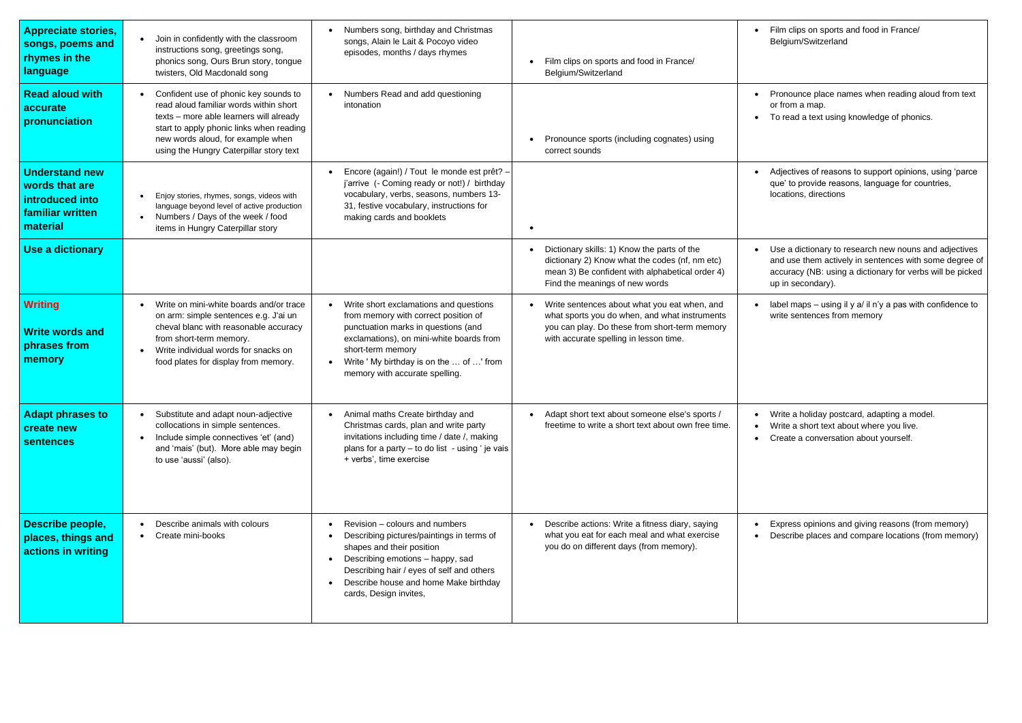Film clips on sports and food in France/ Belgium/Switzerland

• Pronounce place names when reading aloud from text or from a map.

• To read a text using knowledge of phonics.

Use a dictionary to research new nouns and adjectives and use them actively in sentences with some degree of accuracy (NB: using a dictionary for verbs will be picked up in secondary).

label maps – using il y a/ il n'y a pas with confidence to write sentences from memory

• Adjectives of reasons to support opinions, using 'parce que' to provide reasons, language for countries, locations, directions

| <b>Appreciate stories,</b><br>songs, poems and<br>rhymes in the<br>language                | Join in confidently with the classroom<br>$\bullet$<br>instructions song, greetings song,<br>phonics song, Ours Brun story, tongue<br>twisters, Old Macdonald song                                                                                                  | Numbers song, birthday and Christmas<br>songs, Alain le Lait & Pocoyo video<br>episodes, months / days rhymes                                                                                                                                                        | Film clips on sports and food in France/<br>Belgium/Switzerland                                                                                                                          |  |
|--------------------------------------------------------------------------------------------|---------------------------------------------------------------------------------------------------------------------------------------------------------------------------------------------------------------------------------------------------------------------|----------------------------------------------------------------------------------------------------------------------------------------------------------------------------------------------------------------------------------------------------------------------|------------------------------------------------------------------------------------------------------------------------------------------------------------------------------------------|--|
| <b>Read aloud with</b><br>accurate<br>pronunciation                                        | Confident use of phonic key sounds to<br>$\bullet$<br>read aloud familiar words within short<br>texts - more able learners will already<br>start to apply phonic links when reading<br>new words aloud, for example when<br>using the Hungry Caterpillar story text | Numbers Read and add questioning<br>intonation                                                                                                                                                                                                                       | Pronounce sports (including cognates) using<br>correct sounds                                                                                                                            |  |
| <b>Understand new</b><br>words that are<br>introduced into<br>familiar written<br>material | Enjoy stories, rhymes, songs, videos with<br>language beyond level of active production<br>Numbers / Days of the week / food<br>$\bullet$<br>items in Hungry Caterpillar story                                                                                      | Encore (again!) / Tout le monde est prêt? -<br>j'arrive (- Coming ready or not!) / birthday<br>vocabulary, verbs, seasons, numbers 13-<br>31, festive vocabulary, instructions for<br>making cards and booklets                                                      |                                                                                                                                                                                          |  |
| Use a dictionary                                                                           |                                                                                                                                                                                                                                                                     |                                                                                                                                                                                                                                                                      | Dictionary skills: 1) Know the parts of the<br>dictionary 2) Know what the codes (nf, nm etc)<br>mean 3) Be confident with alphabetical order 4)<br>Find the meanings of new words       |  |
| <b>Writing</b><br><b>Write words and</b><br>phrases from<br>memory                         | Write on mini-white boards and/or trace<br>$\bullet$<br>on arm: simple sentences e.g. J'ai un<br>cheval blanc with reasonable accuracy<br>from short-term memory.<br>Write individual words for snacks on<br>$\bullet$<br>food plates for display from memory.      | Write short exclamations and questions<br>from memory with correct position of<br>punctuation marks in questions (and<br>exclamations), on mini-white boards from<br>short-term memory<br>Write ' My birthday is on the  of ' from<br>memory with accurate spelling. | Write sentences about what you eat when, and<br>what sports you do when, and what instruments<br>you can play. Do these from short-term memory<br>with accurate spelling in lesson time. |  |
| <b>Adapt phrases to</b><br>create new<br><b>sentences</b>                                  | Substitute and adapt noun-adjective<br>$\bullet$<br>collocations in simple sentences.<br>Include simple connectives 'et' (and)<br>$\bullet$<br>and 'mais' (but). More able may begin<br>to use 'aussi' (also).                                                      | Animal maths Create birthday and<br>Christmas cards, plan and write party<br>invitations including time / date /, making<br>plans for a party - to do list - using ' je vais<br>+ verbs', time exercise                                                              | Adapt short text about someone else's sports /<br>freetime to write a short text about own free time.                                                                                    |  |
| Describe people,<br>places, things and<br>actions in writing                               | Describe animals with colours<br>Create mini-books                                                                                                                                                                                                                  | Revision – colours and numbers<br>Describing pictures/paintings in terms of<br>shapes and their position<br>Describing emotions - happy, sad<br>Describing hair / eyes of self and others<br>Describe house and home Make birthday<br>cards, Design invites,         | Describe actions: Write a fitness diary, saying<br>what you eat for each meal and what exercise<br>you do on different days (from memory).                                               |  |

Express opinions and giving reasons (from memory) • Describe places and compare locations (from memory)

• Write a holiday postcard, adapting a model. • Write a short text about where you live. • Create a conversation about yourself.